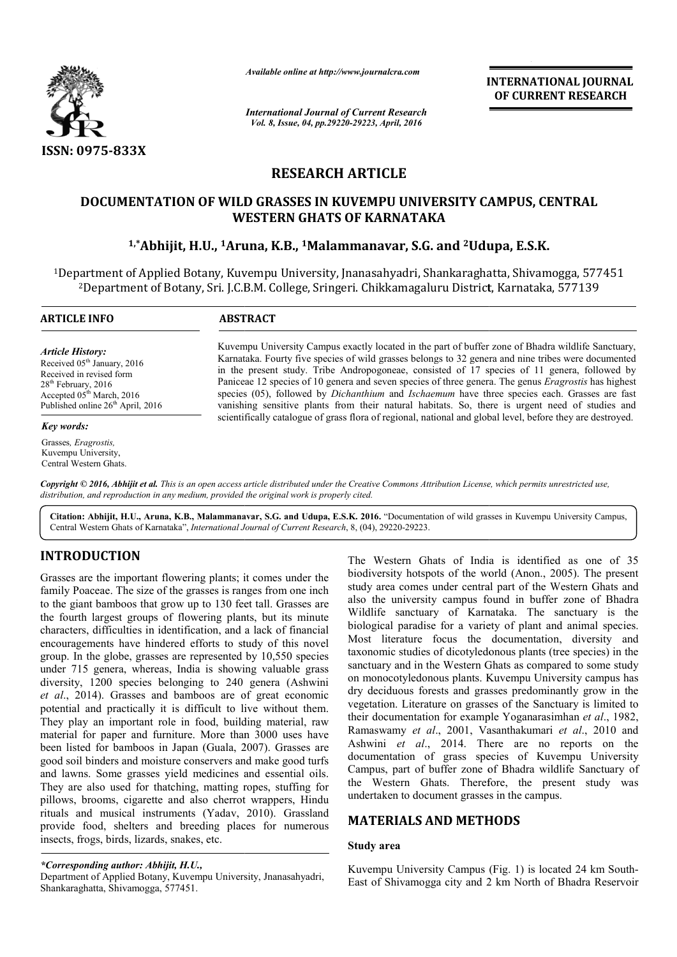

*Available online at http://www.journalcra.com*

*International Journal of Current Research Vol. 8, Issue, 04, pp.29220-29223, April, 2016*

**INTERNATIONAL JOURNAL OF CURRENT RESEARCH** 

# **RESEARCH ARTICLE**

# **DOCUMENTATION OF WILD GRASSES IN KUVEMPU UNIVERSITY CAMPUS, CENTRAL WESTERN GHATS OF KARNATAKA**

# <sup>1,\*</sup>Abhijit, H.U., <sup>1</sup>Aruna, K.B., <sup>1</sup>Malammanavar, S.G. and <sup>2</sup>Udupa, E.S.K.

<sup>1</sup>Department of Applied Botany, Kuvempu University, Jnanasahyadri, Shankaraghatta, Shivamogga, 577451<br><sup>2</sup>Department of Botany, Sri. J.C.B.M. College, Sringeri. Chikkamagaluru District, Karnataka, 577139 2Department of Botany, Sri. J.C.B.M. College Department College, Sringeri. Chikkamagaluru District, Karnataka, 577139

 $\overline{a}$ 

#### **ARTICLE INFO ABSTRACT**

*Article History:* Received 05<sup>th</sup> January, 2016 Received in revised form 28<sup>th</sup> February, 2016 Accepted 05<sup>th</sup> March, 2016 Published online  $26<sup>th</sup>$  April, 2016

#### *Key words:*

Grasses*, Eragrostis,*  Kuvempu University, Central Western Ghats. Kuvempu University Campus exactly located in the part of buffer zone of Bhadra wildlife Sanctuary, Kuvempu University Campus exactly located in the part of buffer zone of Bhadra wildlife Sanctuary, Karnataka. Fourty five species of wild grasses belongs to 32 genera and nine tribes were documented in the present study. Tribe Andropogoneae, consisted of 17 species of 11 genera, followed by in the present study. Tribe Andropogoneae, consisted of 17 species of 11 genera, followed by Paniceae 12 species of 10 genera and seven species of three genera. The genus *Eragrostis* has highest species (05), followed by *Dichanthium* and *Ischaemum* have three species each. Grasses are fast vanishing sensitive plants from their natural habitats. So, there is urgent need of studies and vanishing sensitive plants from their natural habitats. So, there is urgent need of studies and scientifically catalogue of grass flora of regional, national and global level, before they are destroyed.

Copyright © 2016, Abhijit et al. This is an open access article distributed under the Creative Commons Attribution License, which permits unrestricted use, *distribution, and reproduction in any medium, provided the original work is properly cited.*

Citation: Abhijit, H.U., Aruna, K.B., Malammanavar, S.G. and Udupa, E.S.K. 2016. "Documentation of wild grasses in Kuvempu University Campus, Central Western Ghats of Karnataka", *International Journal of Current Research* , 8, (04), 29220-29223.

# **INTRODUCTION**

Grasses are the important flowering plants; it comes under the family Poaceae. The size of the grasses is ranges from one inch to the giant bamboos that grow up to 130 feet tall. Grasses are the fourth largest groups of flowering plants, but its minute characters, difficulties in identification, and a lack of financial encouragements have hindered efforts to study of this novel group. In the globe, grasses are represented by 10,550 species under 715 genera, whereas, India is showing valuable grass diversity, 1200 species belonging to 240 genera (Ashwini *et al*., 2014). Grasses and bamboos are of great economic potential and practically it is difficult to live without them. They play an important role in food, building material, raw material for paper and furniture. More than 3000 uses have been listed for bamboos in Japan (Guala, 2007). Grasses are good soil binders and moisture conservers and make good t turfs and lawns. Some grasses yield medicines and essential oils. They are also used for thatching, matting ropes, stuffing for pillows, brooms, cigarette and also cherrot wrappers, Hindu rituals and musical instruments (Yadav, 2010). Grassland provide food, shelters and breeding places for numerous insects, frogs, birds, lizards, snakes, etc. 30 feet tall. Grasses are<br>
13 plants, but its minute<br>
13 and a lack of financial<br>
10 to study of this novel<br>
10 to study of this novel<br>
10 to species<br>
10 to species<br>
10 to species<br>
240 genera (Ashwini

*\*Corresponding author: Abhijit, H.U.,* Department of Applied Botany, Kuvempu University, Jnanasahyadri, Shankaraghatta, Shivamogga, 577451.

THOM THOM THE Western Ghats of India is identified as one of 35<br>
in interduction and biology in the propertiest of the world (Anno, 2005). The present<br>
interduction and biological corrections under the theories of the wes biodiversity hotspots of the world (Anon., 2005). The present study area comes under central part of the Western Ghats and also the university campus found in buffer zone of Bhadra Wildlife sanctuary of Karnataka. The sanctuary is the biological paradise for a variety of plant and animal species. Most literature focus the documentation, diversity and taxonomic studies of dicotyledonous plants (tree species) in the sanctuary and in the Western Ghats as compared to some study on monocotyledonous plants. Kuvempu University campus has dry deciduous forests and grasses predominantly grow in the vegetation. Literature on grasses of the Sanctuary is limited to their documentation for example Yoganarasimhan *et al*., 1982, Ramaswamy et al., 2001, Vasanthakumari et al., 2010 and Ashwini *et al*., 2014. There are no reports on the documentation of grass species of Kuvempu University Campus, part of buffer zone of Bhadra wildlife Sanctuary of the Western Ghats. Therefore, the present study was undertaken to document grasses in the campus. grasses in the campus.The Western Ghats of India is identified as one of 35 biodiversity hotspots of the world (Anon., 2005). The present study area comes under central part of the Western Ghats and also the university campus found in buffer zo monocotyledonous plants. Kuver<br>deciduous forests and grasses pretation. Literature on grasses of "., 2014. There are no reports on the<br>of grass species of Kuvempu University<br>"buffer zone of Bhadra wildlife Sanctuary of<br>Shats. Therefore, the present study was **INTERNATIONAL JOURNAL OF CURRENT RESEARCH**<br> **OF CURRENT RESEARCH**<br> **COVERT CAMPUS, CENTRAL**<br> **COVERT CAMPUS, CENTRAL**<br> **COVERT CAMPUS, CENTRAL**<br> **COVERT CAMPUS, CENTRAL**<br> **COVERT CAMPUS, CENTRAL**<br> **COVERT CAMPUS, CENTRAL** 

# **MATERIALS AND METHODS METHODS**

### **Study area**

Kuvempu University Campus (Fig. 1) is located 24 km South-East of Shivamogga city and 2 km North of Bhadra Reservoir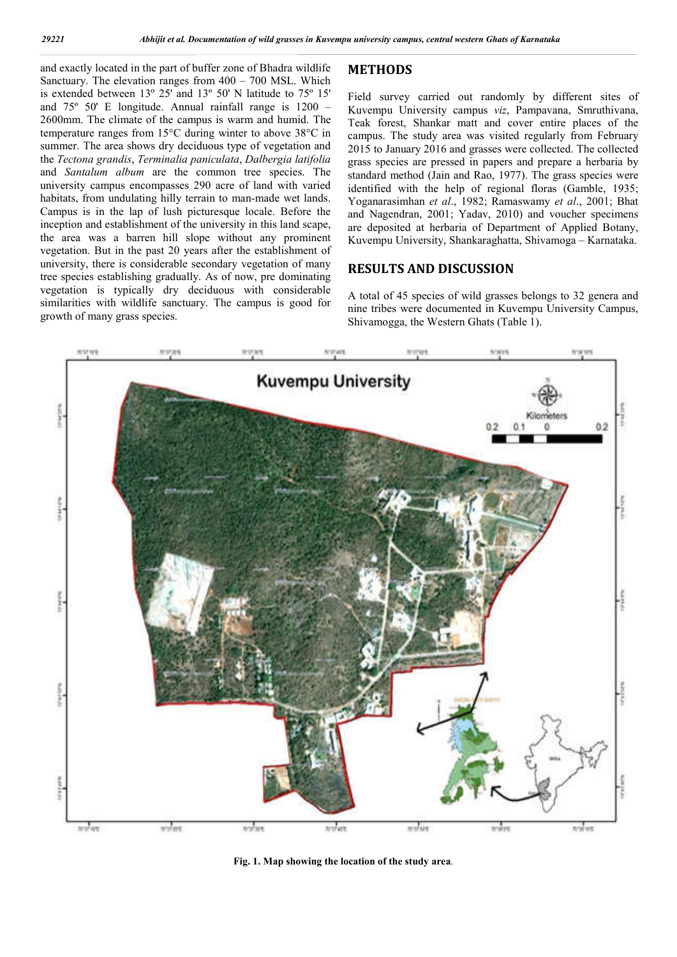and exactly located in the part of buffer zone of Bhadra wildlife Sanctuary. The elevation ranges from 400 – 700 MSL. Which is extended between 13º 25' and 13º 50' N latitude to 75º 15' and 75º 50' E longitude. Annual rainfall range is 1200 – 2600mm. The climate of the campus is warm and humid. The temperature ranges from 15°C during winter to above 38°C in summer. The area shows dry deciduous type of vegetation and the *Tectona grandis*, *Terminalia paniculata*, *Dalbergia latifolia* and *Santalum album* are the common tree species. The university campus encompasses 290 acre of land with varied habitats, from undulating hilly terrain to man-made wet lands. Campus is in the lap of lush picturesque locale. Before the inception and establishment of the university in this land scape, the area was a barren hill slope without any prominent vegetation. But in the past 20 years after the establishment of university, there is considerable secondary vegetation of many tree species establishing gradually. As of now, pre dominating vegetation is typically dry deciduous with considerable similarities with wildlife sanctuary. The campus is good for growth of many grass species.

## **METHODS**

Field survey carried out randomly by different sites of Kuvempu University campus *viz*, Pampavana, Smruthivana, Teak forest, Shankar matt and cover entire places of the campus. The study area was visited regularly from February 2015 to January 2016 and grasses were collected. The collected grass species are pressed in papers and prepare a herbaria by standard method (Jain and Rao, 1977). The grass species were identified with the help of regional floras (Gamble, 1935; Yoganarasimhan *et al*., 1982; Ramaswamy *et al*., 2001; Bhat and Nagendran, 2001; Yadav, 2010) and voucher specimens are deposited at herbaria of Department of Applied Botany, Kuvempu University, Shankaraghatta, Shivamoga – Karnataka.

## **RESULTS AND DISCUSSION**

A total of 45 species of wild grasses belongs to 32 genera and nine tribes were documented in Kuvempu University Campus, Shivamogga, the Western Ghats (Table 1).



**Fig. 1. Map showing the location of the study area**.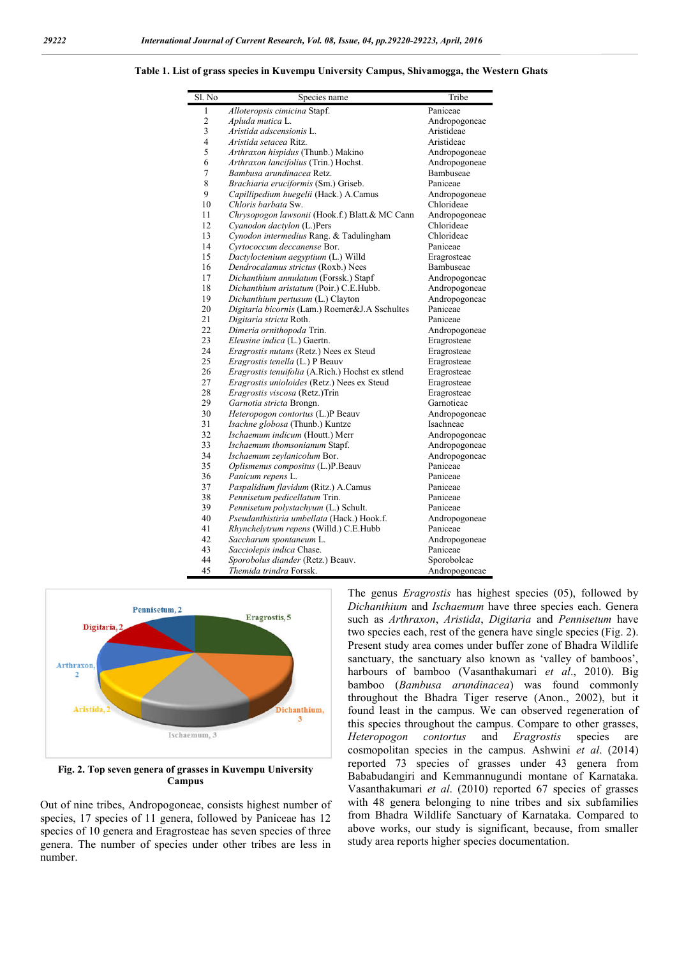#### **Table 1. List of grass species in Kuvempu University Campus, Shivamogga, the Western Ghats**

| Sl. No         | Species name                                     | Tribe         |
|----------------|--------------------------------------------------|---------------|
| 1              | Alloteropsis cimicina Stapf.                     | Paniceae      |
| $\overline{c}$ | Apluda mutica L.                                 | Andropogoneae |
| 3              | Áristida adscensionis L.                         | Aristideae    |
| 4              | Aristida setacea Ritz.                           | Aristideae    |
| 5              | Arthraxon hispidus (Thunb.) Makino               | Andropogoneae |
| 6              | Arthraxon lancifolius (Trin.) Hochst.            | Andropogoneae |
| 7              | Bambusa arundinacea Retz.                        | Bambuseae     |
| 8              | Brachiaria eruciformis (Sm.) Griseb.             | Paniceae      |
| 9              | Capillipedium huegelii (Hack.) A.Camus           | Andropogoneae |
| 10             | Chloris barbata Sw.                              | Chlorideae    |
| 11             | Chrysopogon lawsonii (Hook.f.) Blatt.& MC Cann   | Andropogoneae |
| 12             | Cyanodon dactylon (L.)Pers                       | Chlorideae    |
| 13             | Cynodon intermedius Rang. & Tadulingham          | Chlorideae    |
| 14             | Cyrtococcum deccanense Bor.                      | Paniceae      |
| 15             | Dactyloctenium aegyptium (L.) Willd              | Eragrosteae   |
| 16             | Dendrocalamus strictus (Roxb.) Nees              | Bambuseae     |
| 17             | Dichanthium annulatum (Forssk.) Stapf            | Andropogoneae |
| 18             | Dichanthium aristatum (Poir.) C.E.Hubb.          | Andropogoneae |
| 19             | Dichanthium pertusum (L.) Clayton                | Andropogoneae |
| 20             | Digitaria bicornis (Lam.) Roemer&J.A Sschultes   | Paniceae      |
| 21             | Digitaria stricta Roth.                          | Paniceae      |
| 22             | Dimeria ornithopoda Trin.                        | Andropogoneae |
| 23             | Eleusine indica (L.) Gaertn.                     | Eragrosteae   |
| 24             | Eragrostis nutans (Retz.) Nees ex Steud          | Eragrosteae   |
| 25             | Eragrostis tenella (L.) P Beauv                  | Eragrosteae   |
| 26             | Eragrostis tenuifolia (A.Rich.) Hochst ex stlend | Eragrosteae   |
| 27             | Eragrostis unioloides (Retz.) Nees ex Steud      | Eragrosteae   |
| 28             | Eragrostis viscosa (Retz.)Trin                   | Eragrosteae   |
| 29             | Garnotia stricta Brongn.                         | Garnotieae    |
| 30             | Heteropogon contortus (L.)P Beauv                | Andropogoneae |
| 31             | Isachne globosa (Thunb.) Kuntze                  | Isachneae     |
| 32             | Ischaemum indicum (Houtt.) Merr                  | Andropogoneae |
| 33             | Ischaemum thomsonianum Stapf.                    | Andropogoneae |
| 34             | Ischaemum zevlanicolum Bor.                      | Andropogoneae |
| 35             | Oplismenus compositus (L.)P.Beauv                | Paniceae      |
| 36             | Panicum repens L.                                | Paniceae      |
| 37             | Paspalidium flavidum (Ritz.) A.Camus             | Paniceae      |
| 38             | Pennisetum pedicellatum Trin.                    | Paniceae      |
| 39             | Pennisetum polystachyum (L.) Schult.             | Paniceae      |
| 40             | Pseudanthistiria umbellata (Hack.) Hook.f.       | Andropogoneae |
| 41             | Rhynchelytrum repens (Willd.) C.E.Hubb           | Paniceae      |
| 42             | Saccharum spontaneum L.                          | Andropogoneae |
| 43             | Sacciolepis indica Chase.                        | Paniceae      |
| 44             | Sporobolus diander (Retz.) Beauv.                | Sporoboleae   |
| 45             | Themida trindra Forssk.                          | Andropogoneae |



**Fig. 2. Top seven genera of grasses in Kuvempu University Campus**

Out of nine tribes, Andropogoneae, consists highest number of species, 17 species of 11 genera, followed by Paniceae has 12 species of 10 genera and Eragrosteae has seven species of three genera. The number of species under other tribes are less in number.

The genus *Eragrostis* has highest species (05), followed by *Dichanthium* and *Ischaemum* have three species each. Genera such as *Arthraxon*, *Aristida*, *Digitaria* and *Pennisetum* have two species each, rest of the genera have single species (Fig. 2). Present study area comes under buffer zone of Bhadra Wildlife sanctuary, the sanctuary also known as 'valley of bamboos', harbours of bamboo (Vasanthakumari *et al*., 2010). Big bamboo (*Bambusa arundinacea*) was found commonly throughout the Bhadra Tiger reserve (Anon., 2002), but it found least in the campus. We can observed regeneration of this species throughout the campus. Compare to other grasses, *Heteropogon contortus* and *Eragrostis* species are cosmopolitan species in the campus. Ashwini *et al*. (2014) reported 73 species of grasses under 43 genera from Bababudangiri and Kemmannugundi montane of Karnataka. Vasanthakumari *et al*. (2010) reported 67 species of grasses with 48 genera belonging to nine tribes and six subfamilies from Bhadra Wildlife Sanctuary of Karnataka. Compared to above works, our study is significant, because, from smaller study area reports higher species documentation.